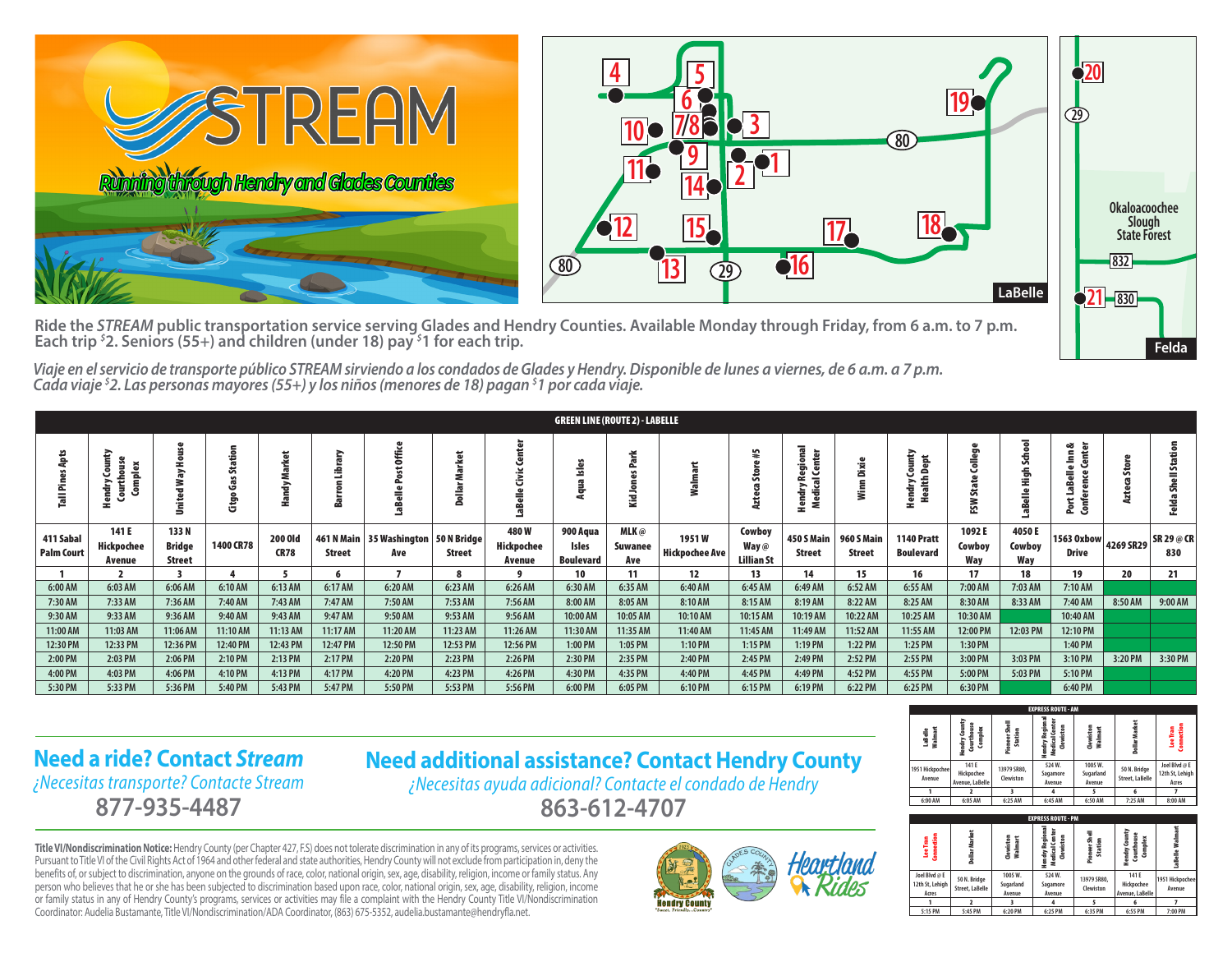

Ride the *STREAM* public transportation service serving Glades and Hendry Counties. Available Monday through Friday, from 6 a.m. to 7 p.m.<br>Each trip <sup>s</sup>2. Seniors (55+) and children (under 18) pay <sup>s</sup>1 for each trip. **2. Seniors (55+) and children (under 18) pay** *\$* **1 for each trip.** 

*Viaje en el servicio de transporte público STREAM sirviendo a los condados de Glades y Hendry. Disponible de lunes a viernes, de 6 a.m. a 7 p.m. Cada viaje \$ 2. Las personas mayores (55+) y los niños (menores de 18) pagan \$ 1 por cada viaje.*

|                                | <b>GREEN LINE (ROUTE 2) - LABELLE</b>          |                                 |                                      |                               |               |                                                 |               |                              |                                       |                        |                         |                                        |                             |                             |                                       |                               |                        |                                          |           |                          |
|--------------------------------|------------------------------------------------|---------------------------------|--------------------------------------|-------------------------------|---------------|-------------------------------------------------|---------------|------------------------------|---------------------------------------|------------------------|-------------------------|----------------------------------------|-----------------------------|-----------------------------|---------------------------------------|-------------------------------|------------------------|------------------------------------------|-----------|--------------------------|
|                                | Complex<br>ి<br>ţ<br>hdrv<br>ē<br>$\mathbf{r}$ | ∍                               | ᅙ<br>Φ<br>å<br>c<br>$\epsilon$<br>មិ | 盂<br>$\rightarrow$            | €<br>æ        |                                                 |               |                              | 으<br>$\overline{\mathbf{v}}$          | ÷<br>డి<br>₹.          | ≥                       | <b>In</b><br>នី                        | onal<br>ā.<br>≿<br>ē<br>÷   | ă                           | 흚<br>$\bullet$<br>⊵<br>혼<br>ā<br>æ.   | ŏ<br><b>G</b><br>State<br>FSW | ᇹ<br>듟<br>륷            | ಜ<br>$\mathbf{a}$<br>œ<br><u>ទិ</u><br>2 |           |                          |
| 411 Sabal<br><b>Palm Court</b> | 141 E<br>Hickpochee<br>Avenue                  | 133N<br>Bridge<br><b>Street</b> | 1400 CR78                            | <b>200 Old</b><br><b>CR78</b> | <b>Street</b> | 461 N Main   35 Washington   50 N Bridge<br>Ave | <b>Street</b> | 480W<br>Hickpochee<br>Avenue | 900 Aqua<br>Isles<br><b>Boulevard</b> | MLK@<br>Suwanee<br>Ave | 1951W<br>Hickpochee Ave | Cowboy<br>Way $@$<br><b>Lillian St</b> | 450 S Main<br><b>Street</b> | 960 S Main<br><b>Street</b> | <b>1140 Pratt</b><br><b>Boulevard</b> | 1092E<br>Cowboy<br>Wav        | 4050E<br>Cowboy<br>Wav | 1563 Oxbow<br><b>Drive</b>               | 4269 SR29 | <b>SR 29 @ CR</b><br>830 |
|                                |                                                |                                 |                                      |                               |               |                                                 |               |                              | 10                                    | 11                     | 12                      | 13                                     | 14                          | 15                          | 16                                    | 17                            | 18                     | 19                                       | 20        | 21                       |
| 6:00 AM                        | 6:03 AM                                        | 6:06 AM                         | 6:10 AM                              | 6:13 AM                       | 6:17 AM       | 6:20 AM                                         | 6:23 AM       | 6:26 AM                      | 6:30 AM                               | 6:35 AM                | 6:40 AM                 | 6:45 AM                                | 6:49 AM                     | 6:52 AM                     | 6:55 AM                               | 7:00 AM                       | 7:03 AM                | 7:10 AM                                  |           |                          |
| 7:30 AM                        | 7:33 AM                                        | 7:36 AM                         | 7:40 AM                              | 7:43 AM                       | 7:47 AM       | 7:50 AM                                         | 7:53 AM       | 7:56 AM                      | 8:00 AM                               | 8:05 AM                | 8:10 AM                 | 8:15 AM                                | 8:19 AM                     | 8:22 AM                     | 8:25 AM                               | 8:30 AM                       | 8:33 AM                | 7:40 AM                                  | 8:50 AM   | 9:00 AM                  |
| 9:30 AM                        | 9:33 AM                                        | 9:36 AM                         | 9:40 AM                              | 9:43 AM                       | 9:47 AM       | 9:50 AM                                         | 9:53 AM       | 9:56 AM                      | 10:00 AM                              | 10:05 AM               | 10:10 AM                | 10:15 AM                               | 10:19 AM                    | 10:22 AM                    | 10:25 AM                              | 10:30 AM                      |                        | 10:40 AM                                 |           |                          |
| 11:00 AM                       | 11:03 AM                                       | 11:06 AM                        | 11:10 AM                             | 11:13 AM                      | 11:17 AM      | 11:20 AM                                        | 11:23 AM      | 11:26 AM                     | 11:30 AM                              | 11:35 AM               | 11:40 AM                | 11:45 AM                               | 11:49 AM                    | 11:52 AM                    | 11:55 AM                              | 12:00 PM                      | 12:03 PM               | 12:10 PM                                 |           |                          |
| 12:30 PM                       | 12:33 PM                                       | 12:36 PM                        | 12:40 PM                             | 12:43 PM                      | 12:47 PM      | 12:50 PM                                        | 12:53 PM      | 12:56 PM                     | 1:00 PM                               | $1:05$ PM              | $1:10$ PM               | $1:15$ PM                              | $1:19$ PM                   | $1:22$ PM                   | 1:25 PM                               | 1:30 PM                       |                        | 1:40 PM                                  |           |                          |
| 2:00 PM                        | 2:03 PM                                        | 2:06 PM                         | 2:10 PM                              | 2:13 PM                       | 2:17 PM       | 2:20 PM                                         | 2:23 PM       | 2:26 PM                      | 2:30 PM                               | 2:35 PM                | 2:40 PM                 | 2:45 PM                                | 2:49 PM                     | 2:52 PM                     | 2:55 PM                               | 3:00 PM                       | 3:03 PM                | 3:10 PM                                  | 3:20 PM   | 3:30 PM                  |
| 4:00 PM                        | 4:03 PM                                        | 4:06 PM                         | 4:10 PM                              | 4:13 PM                       | 4:17 PM       | 4:20 PM                                         | 4:23 PM       | 4:26 PM                      | 4:30 PM                               | 4:35 PM                | 4:40 PM                 | 4:45 PM                                | 4:49 PM                     | 4:52 PM                     | 4:55 PM                               | 5:00 PM                       | 5:03 PM                | 5:10 PM                                  |           |                          |
| 5:30 PM                        | 5:33 PM                                        | 5:36 PM                         | 5:40 PM                              | 5:43 PM                       | 5:47 PM       | 5:50 PM                                         | 5:53 PM       | 5:56 PM                      | 6:00 PM                               | 6:05 PM                | 6:10 PM                 | 6:15 PM                                | 6:19 PM                     | 6:22 PM                     | 6:25 PM                               | 6:30 PM                       |                        | 6:40 PM                                  |           |                          |

## **Need a ride? Contact** *Stream ¿Necesitas transporte? Contacte Stream*

**877-935-4487**

**Need additional assistance? Contact Hendry County** *¿Necesitas ayuda adicional? Contacte el condado de Hendry*

**863-612-4707**

**Title VI/Nondiscrimination Notice:** Hendry County (per Chapter 427, F.S) does not tolerate discrimination in any of its programs, services or activities. Pursuant to Title VI of the Civil Rights Act of 1964 and other federal and state authorities, Hendry County will not exclude from participation in, deny the benefits of, or subject to discrimination, anyone on the grounds of race, color, national origin, sex, age, disability, religion, income or family status. Any person who believes that he or she has been subjected to discrimination based upon race, color, national origin, sex, age, disability, religion, income or family status in any of Hendry County's programs, services or activities may file a complaint with the Hendry County Title VI/Nondiscrimination Coordinator: Audelia Bustamante, Title VI/Nondiscrimination/ADA Coordinator, (863) 675-5352, audelia.bustamante@hendryfla.net.



| <b>EXPRESS ROUTE - AM</b> |                                        |                          |                                                      |                                |                                        |                                           |  |  |  |  |  |  |
|---------------------------|----------------------------------------|--------------------------|------------------------------------------------------|--------------------------------|----------------------------------------|-------------------------------------------|--|--|--|--|--|--|
| Walmart<br>LaBelle        | Hendry County<br>Courthouse<br>Complex | Pioneer Shell<br>Station | Hendry Regional<br>Medical Center<br><b>Qewiston</b> | <b>Qewiston</b><br>Walmart     | Dollar Market                          | Connection<br>Lee Tran                    |  |  |  |  |  |  |
| 1951 Hickpochee<br>Avenue | 141 E<br>Hickpochee<br>Avenue, LaBelle | 13979 SR80.<br>Clewiston | 524W.<br>Sagamore<br>Avenue                          | 1005 W.<br>Sugarland<br>Avenue | 50 N. Bridge<br><b>Street, LaBelle</b> | Joel Blvd @ E<br>12th St, Lehigh<br>Acres |  |  |  |  |  |  |
|                           |                                        |                          |                                                      |                                | 6                                      |                                           |  |  |  |  |  |  |
| 6:00 AM                   | 6:05 AM                                | 6:25 AM                  | 6:45 AM                                              | 6:50 AM                        | 7:25 AM                                | 8:00 AM                                   |  |  |  |  |  |  |

**Felda**

| <b>EXPRESS ROUTE - PM</b>                 |                                 |                               |                                               |                          |                                        |                           |  |  |  |  |  |  |
|-------------------------------------------|---------------------------------|-------------------------------|-----------------------------------------------|--------------------------|----------------------------------------|---------------------------|--|--|--|--|--|--|
| Connection<br>Lee Tran                    | Dollar Market                   | Clewiston<br>Walmart          | Hendry Regiona<br>Medical Center<br>Clewiston | Pioneer Shell<br>Station | Hendry County<br>Courthouse<br>Complex | Walmart<br>aBelle         |  |  |  |  |  |  |
| Joel Blvd @ E<br>12th St, Lehigh<br>Acres | 50 N. Bridge<br>Street, LaBelle | 1005W.<br>Sugarland<br>Avenue | 524W.<br>Sagamore<br>Avenue                   | 13979 SR80.<br>Clewiston | 141 E<br>Hickpochee<br>Avenue, LaBelle | 1951 Hickpochee<br>Avenue |  |  |  |  |  |  |
|                                           |                                 |                               | 4                                             | 5                        | 6                                      |                           |  |  |  |  |  |  |
| 5:15 PM                                   | 5:45 PM                         | 6:20 PM                       | 6:25 PM                                       | 6:35 PM                  | 6:55 PM                                | 7:00 PM                   |  |  |  |  |  |  |